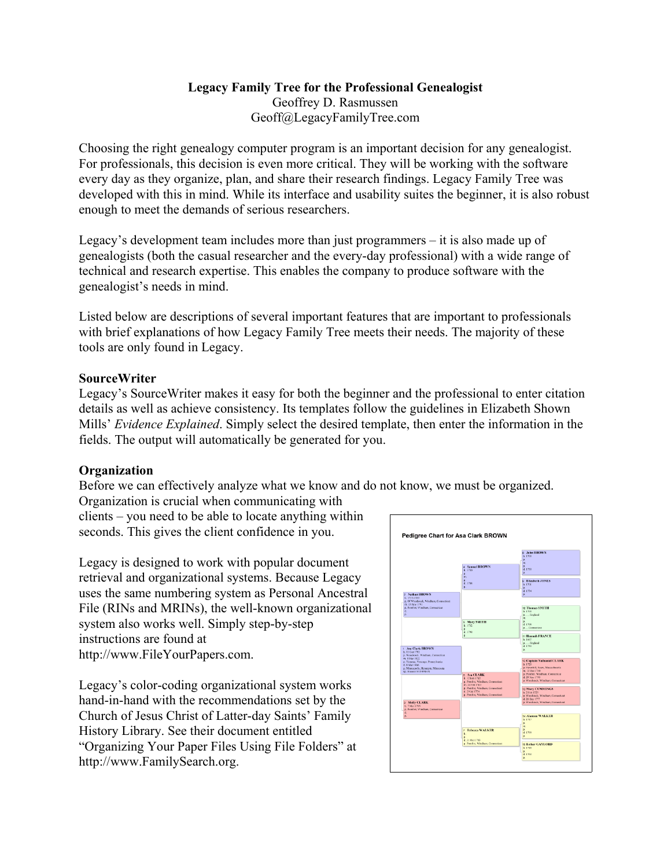# **Legacy Family Tree for the Professional Genealogist** Geoffrey D. Rasmussen Geoff@LegacyFamilyTree.com

Choosing the right genealogy computer program is an important decision for any genealogist. For professionals, this decision is even more critical. They will be working with the software every day as they organize, plan, and share their research findings. Legacy Family Tree was developed with this in mind. While its interface and usability suites the beginner, it is also robust enough to meet the demands of serious researchers.

Legacy's development team includes more than just programmers – it is also made up of genealogists (both the casual researcher and the every-day professional) with a wide range of technical and research expertise. This enables the company to produce software with the genealogist's needs in mind.

Listed below are descriptions of several important features that are important to professionals with brief explanations of how Legacy Family Tree meets their needs. The majority of these tools are only found in Legacy.

#### **SourceWriter**

Legacy's SourceWriter makes it easy for both the beginner and the professional to enter citation details as well as achieve consistency. Its templates follow the guidelines in Elizabeth Shown Mills' *Evidence Explained*. Simply select the desired template, then enter the information in the fields. The output will automatically be generated for you.

#### **Organization**

Before we can effectively analyze what we know and do not know, we must be organized.

Organization is crucial when communicating with clients – you need to be able to locate anything within seconds. This gives the client confidence in you.

Legacy is designed to work with popular document retrieval and organizational systems. Because Legacy uses the same numbering system as Personal Ancestral File (RINs and MRINs), the well-known organizational system also works well. Simply step-by-step instructions are found at http://www.FileYourPapers.com.

Legacy's color-coding organizational system works hand-in-hand with the recommendations set by the Church of Jesus Christ of Latter-day Saints' Family History Library. See their document entitled "Organizing Your Paper Files Using File Folders" at http://www.FamilySearch.org.

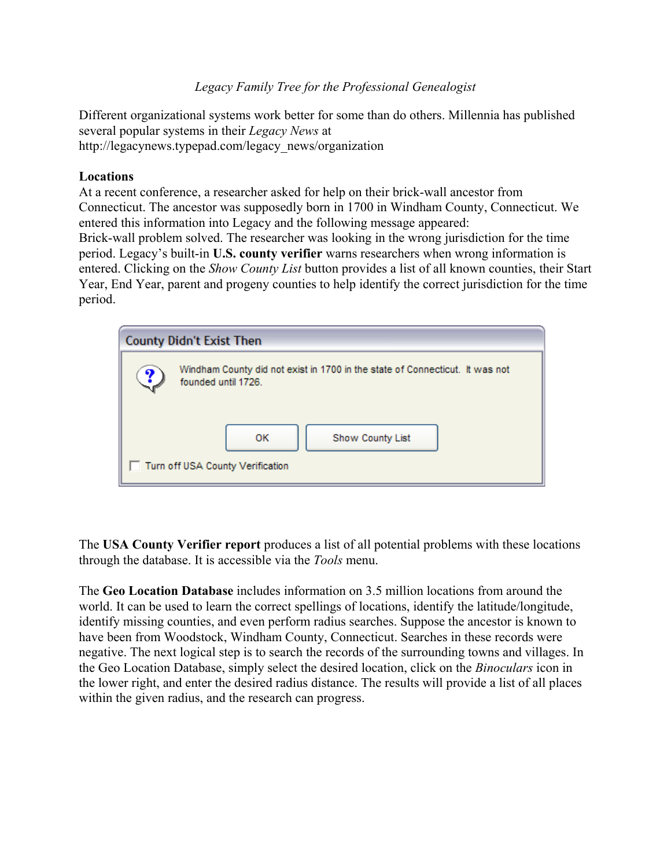Different organizational systems work better for some than do others. Millennia has published several popular systems in their *Legacy News* at http://legacynews.typepad.com/legacy\_news/organization

#### **Locations**

At a recent conference, a researcher asked for help on their brick-wall ancestor from Connecticut. The ancestor was supposedly born in 1700 in Windham County, Connecticut. We entered this information into Legacy and the following message appeared: Brick-wall problem solved. The researcher was looking in the wrong jurisdiction for the time period. Legacy's built-in **U.S. county verifier** warns researchers when wrong information is entered. Clicking on the *Show County List* button provides a list of all known counties, their Start Year, End Year, parent and progeny counties to help identify the correct jurisdiction for the time period.

| <b>County Didn't Exist Then</b>                                                                          |  |
|----------------------------------------------------------------------------------------------------------|--|
| Windham County did not exist in 1700 in the state of Connecticut. It was not<br>Y<br>founded until 1726. |  |
| 0K<br>Show County List                                                                                   |  |
| Turn off USA County Verification                                                                         |  |

The **USA County Verifier report** produces a list of all potential problems with these locations through the database. It is accessible via the *Tools* menu.

The **Geo Location Database** includes information on 3.5 million locations from around the world. It can be used to learn the correct spellings of locations, identify the latitude/longitude, identify missing counties, and even perform radius searches. Suppose the ancestor is known to have been from Woodstock, Windham County, Connecticut. Searches in these records were negative. The next logical step is to search the records of the surrounding towns and villages. In the Geo Location Database, simply select the desired location, click on the *Binoculars* icon in the lower right, and enter the desired radius distance. The results will provide a list of all places within the given radius, and the research can progress.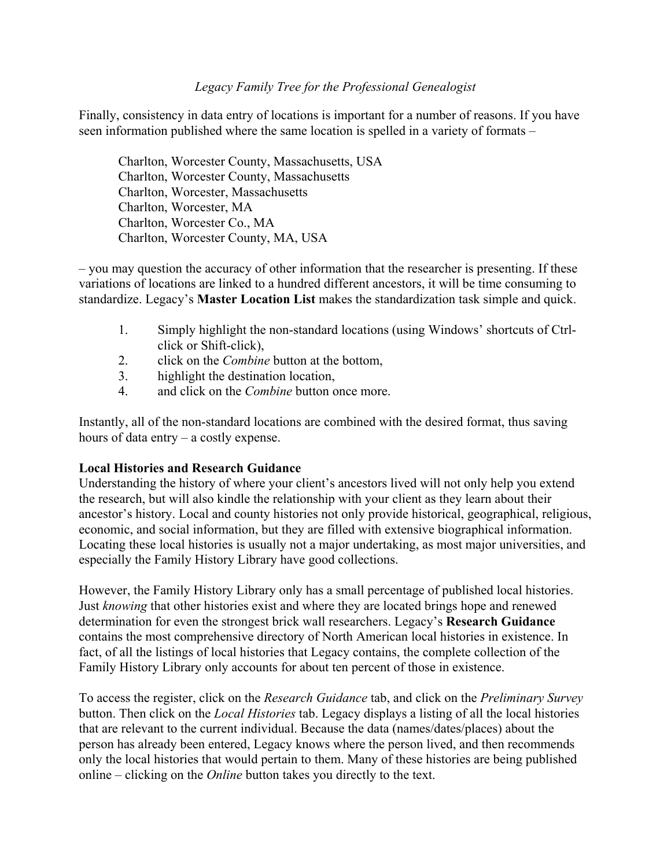Finally, consistency in data entry of locations is important for a number of reasons. If you have seen information published where the same location is spelled in a variety of formats –

Charlton, Worcester County, Massachusetts, USA Charlton, Worcester County, Massachusetts Charlton, Worcester, Massachusetts Charlton, Worcester, MA Charlton, Worcester Co., MA Charlton, Worcester County, MA, USA

– you may question the accuracy of other information that the researcher is presenting. If these variations of locations are linked to a hundred different ancestors, it will be time consuming to standardize. Legacy's **Master Location List** makes the standardization task simple and quick.

- 1. Simply highlight the non-standard locations (using Windows' shortcuts of Ctrlclick or Shift-click),
- 2. click on the *Combine* button at the bottom,
- 3. highlight the destination location,
- 4. and click on the *Combine* button once more.

Instantly, all of the non-standard locations are combined with the desired format, thus saving hours of data entry – a costly expense.

#### **Local Histories and Research Guidance**

Understanding the history of where your client's ancestors lived will not only help you extend the research, but will also kindle the relationship with your client as they learn about their ancestor's history. Local and county histories not only provide historical, geographical, religious, economic, and social information, but they are filled with extensive biographical information. Locating these local histories is usually not a major undertaking, as most major universities, and especially the Family History Library have good collections.

However, the Family History Library only has a small percentage of published local histories. Just *knowing* that other histories exist and where they are located brings hope and renewed determination for even the strongest brick wall researchers. Legacy's **Research Guidance** contains the most comprehensive directory of North American local histories in existence. In fact, of all the listings of local histories that Legacy contains, the complete collection of the Family History Library only accounts for about ten percent of those in existence.

To access the register, click on the *Research Guidance* tab, and click on the *Preliminary Survey* button. Then click on the *Local Histories* tab. Legacy displays a listing of all the local histories that are relevant to the current individual. Because the data (names/dates/places) about the person has already been entered, Legacy knows where the person lived, and then recommends only the local histories that would pertain to them. Many of these histories are being published online – clicking on the *Online* button takes you directly to the text.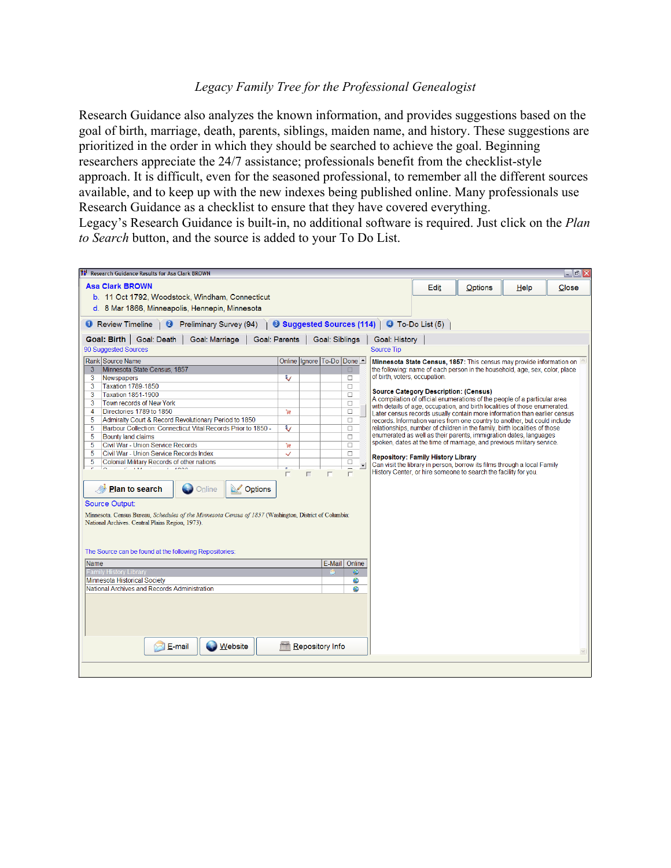Research Guidance also analyzes the known information, and provides suggestions based on the goal of birth, marriage, death, parents, siblings, maiden name, and history. These suggestions are prioritized in the order in which they should be searched to achieve the goal. Beginning researchers appreciate the 24/7 assistance; professionals benefit from the checklist-style approach. It is difficult, even for the seasoned professional, to remember all the different sources available, and to keep up with the new indexes being published online. Many professionals use Research Guidance as a checklist to ensure that they have covered everything. Legacy's Research Guidance is built-in, no additional software is required. Just click on the *Plan to Search* button, and the source is added to your To Do List.

| <b>Research Guidance Results for Asa Clark BROWN</b>                                                                                                       |                      |   |                          |                  |                                                   |      |                                              |                                                                                                                                                         | $ \sigma$ $\times$ |
|------------------------------------------------------------------------------------------------------------------------------------------------------------|----------------------|---|--------------------------|------------------|---------------------------------------------------|------|----------------------------------------------|---------------------------------------------------------------------------------------------------------------------------------------------------------|--------------------|
| <b>Asa Clark BROWN</b>                                                                                                                                     |                      |   |                          |                  |                                                   | Edit | Options                                      | Help                                                                                                                                                    | Close              |
| b. 11 Oct 1792, Woodstock, Windham, Connecticut                                                                                                            |                      |   |                          |                  |                                                   |      |                                              |                                                                                                                                                         |                    |
| d. 8 Mar 1866, Minneapolis, Hennepin, Minnesota                                                                                                            |                      |   |                          |                  |                                                   |      |                                              |                                                                                                                                                         |                    |
|                                                                                                                                                            |                      |   |                          |                  |                                                   |      |                                              |                                                                                                                                                         |                    |
| <b>O</b> Review Timeline<br>$\bullet$<br>Preliminary Survey (94)                                                                                           |                      |   |                          |                  | <b>8 Suggested Sources (114) 4</b> To-Do List (5) |      |                                              |                                                                                                                                                         |                    |
| Goal: Birth   Goal: Death<br>Goal: Marriage                                                                                                                | <b>Goal: Parents</b> |   | Goal: Siblings           |                  | <b>Goal: History</b>                              |      |                                              |                                                                                                                                                         |                    |
| 90 Suggested Sources                                                                                                                                       |                      |   |                          |                  | <b>Source Tip</b>                                 |      |                                              |                                                                                                                                                         |                    |
| Rank Source Name                                                                                                                                           |                      |   | Online Ignore To-Do Done |                  |                                                   |      |                                              | Minnesota State Census, 1857: This census may provide information on                                                                                    |                    |
| Minnesota State Census, 1857<br>3 <sup>7</sup>                                                                                                             |                      |   |                          | $\Box$           |                                                   |      |                                              | the following: name of each person in the household, age, sex, color, place                                                                             |                    |
| 3<br>Newspapers                                                                                                                                            | ₹                    |   |                          | $\Box$           | of birth, voters, occupation.                     |      |                                              |                                                                                                                                                         |                    |
| <b>Taxation 1789-1850</b><br>3<br><b>Taxation 1851-1900</b><br>3                                                                                           |                      |   |                          | □<br>$\Box$      |                                                   |      | <b>Source Category Description: (Census)</b> |                                                                                                                                                         |                    |
| 3<br>Town records of New York                                                                                                                              |                      |   |                          | $\Box$           |                                                   |      |                                              | A compilation of official enumerations of the people of a particular area                                                                               |                    |
| Directories 1789 to 1850<br>4                                                                                                                              | Έ                    |   |                          | $\Box$           |                                                   |      |                                              | with details of age, occupation, and birth localities of those enumerated.<br>Later census records usually contain more information than earlier census |                    |
| Admiralty Court & Record Revolutionary Period to 1850<br>5                                                                                                 |                      |   |                          | $\Box$           |                                                   |      |                                              | records. Information varies from one country to another, but could include                                                                              |                    |
| Barbour Collection: Connecticut Vital Records Prior to 1850 -<br>5                                                                                         | ₹                    |   |                          | $\Box$           |                                                   |      |                                              | relationships, number of children in the family, birth localities of those                                                                              |                    |
| <b>Bounty land claims</b><br>5                                                                                                                             |                      |   |                          | $\Box$           |                                                   |      |                                              | enumerated as well as their parents, immigration dates, languages<br>spoken, dates at the time of marriage, and previous military service.              |                    |
| Civil War - Union Service Records<br>5                                                                                                                     | 'n                   |   |                          | $\Box$           |                                                   |      |                                              |                                                                                                                                                         |                    |
| 5<br>Civil War - Union Service Records Index<br><b>Colonial Military Records of other nations</b><br>5                                                     | $\checkmark$         |   |                          | $\Box$<br>$\Box$ | <b>Repository: Family History Library</b>         |      |                                              |                                                                                                                                                         |                    |
| F<br><b>COLLANS</b><br>ᆕ                                                                                                                                   |                      |   |                          |                  |                                                   |      |                                              | Can visit the library in person, borrow its films through a local Family<br>History Center, or hire someone to search the facility for you.             |                    |
|                                                                                                                                                            | г                    | г | г                        | $\Box$           |                                                   |      |                                              |                                                                                                                                                         |                    |
| <b>Plan to search</b><br>R)<br>Options<br>Online                                                                                                           |                      |   |                          |                  |                                                   |      |                                              |                                                                                                                                                         |                    |
| <b>Source Output:</b>                                                                                                                                      |                      |   |                          |                  |                                                   |      |                                              |                                                                                                                                                         |                    |
|                                                                                                                                                            |                      |   |                          |                  |                                                   |      |                                              |                                                                                                                                                         |                    |
| Minnesota. Census Bureau, Schedules of the Minnesota Census of 1857 (Washington, District of Columbia:<br>National Archives. Central Plains Region. 1973). |                      |   |                          |                  |                                                   |      |                                              |                                                                                                                                                         |                    |
|                                                                                                                                                            |                      |   |                          |                  |                                                   |      |                                              |                                                                                                                                                         |                    |
|                                                                                                                                                            |                      |   |                          |                  |                                                   |      |                                              |                                                                                                                                                         |                    |
| The Source can be found at the following Repositories:                                                                                                     |                      |   |                          |                  |                                                   |      |                                              |                                                                                                                                                         |                    |
|                                                                                                                                                            |                      |   |                          |                  |                                                   |      |                                              |                                                                                                                                                         |                    |
| Name<br><b>Family History Library</b>                                                                                                                      |                      |   | E-Mail                   | Online<br>Ø      |                                                   |      |                                              |                                                                                                                                                         |                    |
| <b>Minnesota Historical Society</b>                                                                                                                        |                      |   |                          | ల                |                                                   |      |                                              |                                                                                                                                                         |                    |
| National Archives and Records Administration                                                                                                               |                      |   |                          | Ø                |                                                   |      |                                              |                                                                                                                                                         |                    |
|                                                                                                                                                            |                      |   |                          |                  |                                                   |      |                                              |                                                                                                                                                         |                    |
|                                                                                                                                                            |                      |   |                          |                  |                                                   |      |                                              |                                                                                                                                                         |                    |
|                                                                                                                                                            |                      |   |                          |                  |                                                   |      |                                              |                                                                                                                                                         |                    |
|                                                                                                                                                            |                      |   |                          |                  |                                                   |      |                                              |                                                                                                                                                         |                    |
|                                                                                                                                                            |                      |   |                          |                  |                                                   |      |                                              |                                                                                                                                                         |                    |
| <b>Website</b><br>E-mail                                                                                                                                   |                      |   | Repository Info          |                  |                                                   |      |                                              |                                                                                                                                                         |                    |
|                                                                                                                                                            |                      |   |                          |                  |                                                   |      |                                              |                                                                                                                                                         |                    |
|                                                                                                                                                            |                      |   |                          |                  |                                                   |      |                                              |                                                                                                                                                         |                    |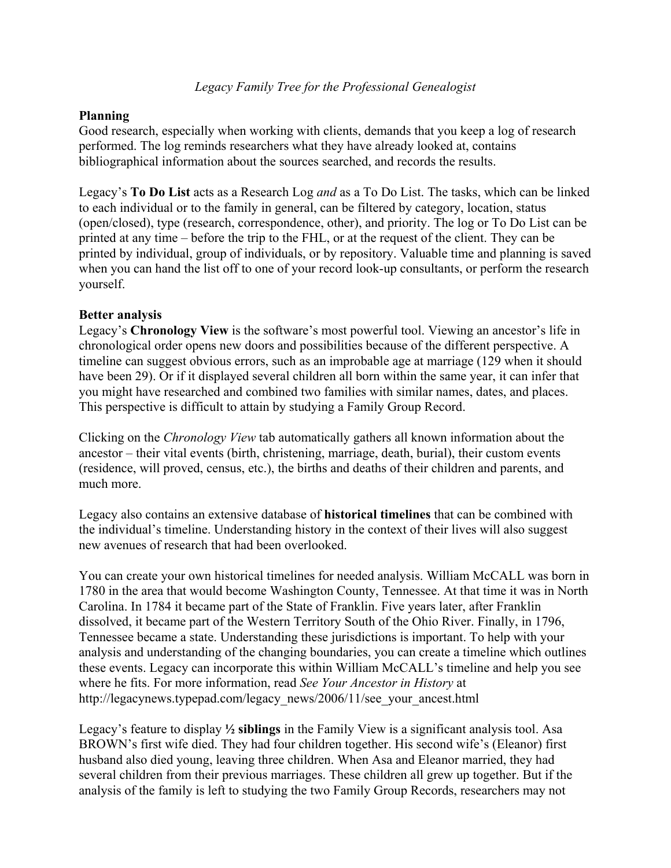# **Planning**

Good research, especially when working with clients, demands that you keep a log of research performed. The log reminds researchers what they have already looked at, contains bibliographical information about the sources searched, and records the results.

Legacy's **To Do List** acts as a Research Log *and* as a To Do List. The tasks, which can be linked to each individual or to the family in general, can be filtered by category, location, status (open/closed), type (research, correspondence, other), and priority. The log or To Do List can be printed at any time – before the trip to the FHL, or at the request of the client. They can be printed by individual, group of individuals, or by repository. Valuable time and planning is saved when you can hand the list off to one of your record look-up consultants, or perform the research yourself.

### **Better analysis**

Legacy's **Chronology View** is the software's most powerful tool. Viewing an ancestor's life in chronological order opens new doors and possibilities because of the different perspective. A timeline can suggest obvious errors, such as an improbable age at marriage (129 when it should have been 29). Or if it displayed several children all born within the same year, it can infer that you might have researched and combined two families with similar names, dates, and places. This perspective is difficult to attain by studying a Family Group Record.

Clicking on the *Chronology View* tab automatically gathers all known information about the ancestor – their vital events (birth, christening, marriage, death, burial), their custom events (residence, will proved, census, etc.), the births and deaths of their children and parents, and much more.

Legacy also contains an extensive database of **historical timelines** that can be combined with the individual's timeline. Understanding history in the context of their lives will also suggest new avenues of research that had been overlooked.

You can create your own historical timelines for needed analysis. William McCALL was born in 1780 in the area that would become Washington County, Tennessee. At that time it was in North Carolina. In 1784 it became part of the State of Franklin. Five years later, after Franklin dissolved, it became part of the Western Territory South of the Ohio River. Finally, in 1796, Tennessee became a state. Understanding these jurisdictions is important. To help with your analysis and understanding of the changing boundaries, you can create a timeline which outlines these events. Legacy can incorporate this within William McCALL's timeline and help you see where he fits. For more information, read *See Your Ancestor in History* at http://legacynews.typepad.com/legacy\_news/2006/11/see\_your\_ancest.html

Legacy's feature to display **½ siblings** in the Family View is a significant analysis tool. Asa BROWN's first wife died. They had four children together. His second wife's (Eleanor) first husband also died young, leaving three children. When Asa and Eleanor married, they had several children from their previous marriages. These children all grew up together. But if the analysis of the family is left to studying the two Family Group Records, researchers may not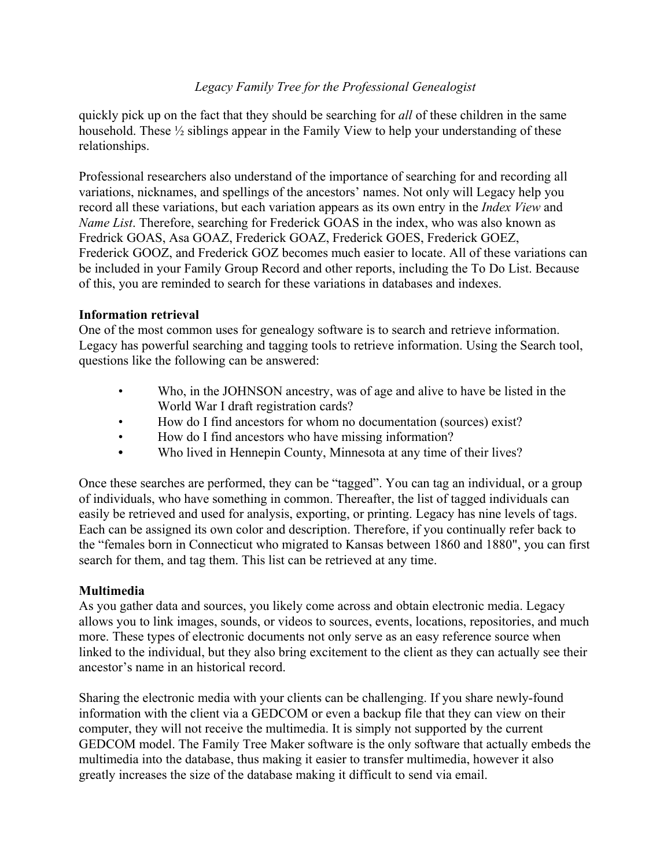quickly pick up on the fact that they should be searching for *all* of these children in the same household. These  $\frac{1}{2}$  siblings appear in the Family View to help your understanding of these relationships.

Professional researchers also understand of the importance of searching for and recording all variations, nicknames, and spellings of the ancestors' names. Not only will Legacy help you record all these variations, but each variation appears as its own entry in the *Index View* and *Name List*. Therefore, searching for Frederick GOAS in the index, who was also known as Fredrick GOAS, Asa GOAZ, Frederick GOAZ, Frederick GOES, Frederick GOEZ, Frederick GOOZ, and Frederick GOZ becomes much easier to locate. All of these variations can be included in your Family Group Record and other reports, including the To Do List. Because of this, you are reminded to search for these variations in databases and indexes.

### **Information retrieval**

One of the most common uses for genealogy software is to search and retrieve information. Legacy has powerful searching and tagging tools to retrieve information. Using the Search tool, questions like the following can be answered:

- Who, in the JOHNSON ancestry, was of age and alive to have be listed in the World War I draft registration cards?
- How do I find ancestors for whom no documentation (sources) exist?
- How do I find ancestors who have missing information?
- **•** Who lived in Hennepin County, Minnesota at any time of their lives?

Once these searches are performed, they can be "tagged". You can tag an individual, or a group of individuals, who have something in common. Thereafter, the list of tagged individuals can easily be retrieved and used for analysis, exporting, or printing. Legacy has nine levels of tags. Each can be assigned its own color and description. Therefore, if you continually refer back to the "females born in Connecticut who migrated to Kansas between 1860 and 1880", you can first search for them, and tag them. This list can be retrieved at any time.

# **Multimedia**

As you gather data and sources, you likely come across and obtain electronic media. Legacy allows you to link images, sounds, or videos to sources, events, locations, repositories, and much more. These types of electronic documents not only serve as an easy reference source when linked to the individual, but they also bring excitement to the client as they can actually see their ancestor's name in an historical record.

Sharing the electronic media with your clients can be challenging. If you share newly-found information with the client via a GEDCOM or even a backup file that they can view on their computer, they will not receive the multimedia. It is simply not supported by the current GEDCOM model. The Family Tree Maker software is the only software that actually embeds the multimedia into the database, thus making it easier to transfer multimedia, however it also greatly increases the size of the database making it difficult to send via email.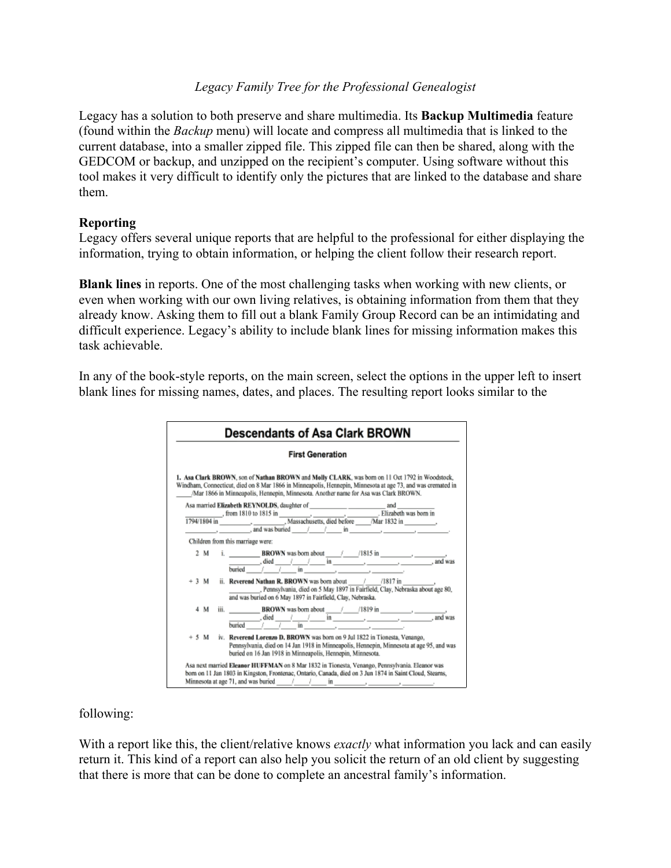Legacy has a solution to both preserve and share multimedia. Its **Backup Multimedia** feature (found within the *Backup* menu) will locate and compress all multimedia that is linked to the current database, into a smaller zipped file. This zipped file can then be shared, along with the GEDCOM or backup, and unzipped on the recipient's computer. Using software without this tool makes it very difficult to identify only the pictures that are linked to the database and share them.

### **Reporting**

Legacy offers several unique reports that are helpful to the professional for either displaying the information, trying to obtain information, or helping the client follow their research report.

**Blank lines** in reports. One of the most challenging tasks when working with new clients, or even when working with our own living relatives, is obtaining information from them that they already know. Asking them to fill out a blank Family Group Record can be an intimidating and difficult experience. Legacy's ability to include blank lines for missing information makes this task achievable.

In any of the book-style reports, on the main screen, select the options in the upper left to insert blank lines for missing names, dates, and places. The resulting report looks similar to the

| <b>Descendants of Asa Clark BROWN</b>                                                                                                                                                                                                                                                                                                                                                                                                                                                                                    |
|--------------------------------------------------------------------------------------------------------------------------------------------------------------------------------------------------------------------------------------------------------------------------------------------------------------------------------------------------------------------------------------------------------------------------------------------------------------------------------------------------------------------------|
| <b>First Generation</b>                                                                                                                                                                                                                                                                                                                                                                                                                                                                                                  |
| 1. Asa Clark BROWN, son of Nathan BROWN and Melly CLARK, was born on 11 Oct 1792 in Woodstock,<br>Windham, Connecticut, died on 8 Mar 1866 in Minneapolis, Hennepin, Minnesota at age 73, and was cremated in<br>/Mar 1866 in Minneapolis, Hennepin, Minnesota. Another name for Asa was Clark BROWN.                                                                                                                                                                                                                    |
|                                                                                                                                                                                                                                                                                                                                                                                                                                                                                                                          |
|                                                                                                                                                                                                                                                                                                                                                                                                                                                                                                                          |
|                                                                                                                                                                                                                                                                                                                                                                                                                                                                                                                          |
| $\frac{1}{\sqrt{1-\frac{1}{\sqrt{1-\frac{1}{\sqrt{1-\frac{1}{\sqrt{1-\frac{1}{\sqrt{1-\frac{1}{\sqrt{1-\frac{1}{\sqrt{1-\frac{1}{\sqrt{1-\frac{1}{\sqrt{1-\frac{1}{\sqrt{1-\frac{1}{\sqrt{1-\frac{1}{\sqrt{1-\frac{1}{\sqrt{1-\frac{1}{\sqrt{1-\frac{1}{\sqrt{1-\frac{1}{\sqrt{1-\frac{1}{\sqrt{1-\frac{1}{\sqrt{1-\frac{1}{\sqrt{1-\frac{1}{\sqrt{1-\frac{1}{\sqrt{1-\frac{1}{\sqrt{1-\frac{1}{\sqrt{1-\frac{1}{\sqrt{1-\frac{1$                                                                                        |
| Children from this marriage were:                                                                                                                                                                                                                                                                                                                                                                                                                                                                                        |
| 2 M<br>$\frac{1}{\sqrt{1-\frac{1}{2}}}\int$ died $\frac{1}{\sqrt{1-\frac{1}{2}}}\int$ in $\frac{1}{\sqrt{1-\frac{1}{2}}}\int$ and was<br>buried $1$ $1$ $\overline{1}$ in $\overline{2}$ $\overline{2}$ $\overline{2}$ $\overline{2}$ $\overline{2}$ $\overline{2}$ $\overline{2}$ $\overline{2}$ $\overline{2}$ $\overline{2}$ $\overline{2}$ $\overline{2}$ $\overline{2}$ $\overline{2}$ $\overline{2}$ $\overline{2}$ $\overline{2}$ $\overline{2}$ $\overline{2}$ $\overline{2}$ $\overline{2}$ $\overline{$        |
| $+3$ M<br>, Pennsylvania, died on 5 May 1897 in Fairfield, Clay, Nebraska about age 80,<br>and was buried on 6 May 1897 in Fairfield, Clay, Nebraska.                                                                                                                                                                                                                                                                                                                                                                    |
| iii. $\frac{\text{BROWN was born about}}{\text{buried}} \cdot \frac{1}{\text{bared}} \cdot \frac{1}{\text{bared}} \cdot \frac{1}{\text{bared}} \cdot \frac{1}{\text{bared}} \cdot \frac{1}{\text{bared}} \cdot \frac{1}{\text{bared}} \cdot \frac{1}{\text{bared}} \cdot \frac{1}{\text{bared}} \cdot \frac{1}{\text{bared}} \cdot \frac{1}{\text{bared}} \cdot \frac{1}{\text{bared}} \cdot \frac{1}{\text{bared}} \cdot \frac{1}{\text{bared}} \cdot \frac{1}{\text{bared}} \cdot \frac{1}{\text{bared}} \cdot$<br>4 M |
| iv. Reverend Lorenzo D. BROWN was born on 9 Jul 1822 in Tionesta, Venango,<br>$+5M$<br>Pennsylvania, died on 14 Jan 1918 in Minneapolis, Hennepin, Minnesota at age 95, and was<br>buried on 16 Jan 1918 in Minneapolis, Hennepin, Minnesota.                                                                                                                                                                                                                                                                            |
| Asa next married Eleanor HUFFMAN on 8 Mar 1832 in Tionesta, Venango, Pennsylvania. Eleanor was<br>born on 11 Jan 1803 in Kingston, Frontenac, Ontario, Canada, died on 3 Jun 1874 in Saint Cloud, Stearns,                                                                                                                                                                                                                                                                                                               |

following:

With a report like this, the client/relative knows *exactly* what information you lack and can easily return it. This kind of a report can also help you solicit the return of an old client by suggesting that there is more that can be done to complete an ancestral family's information.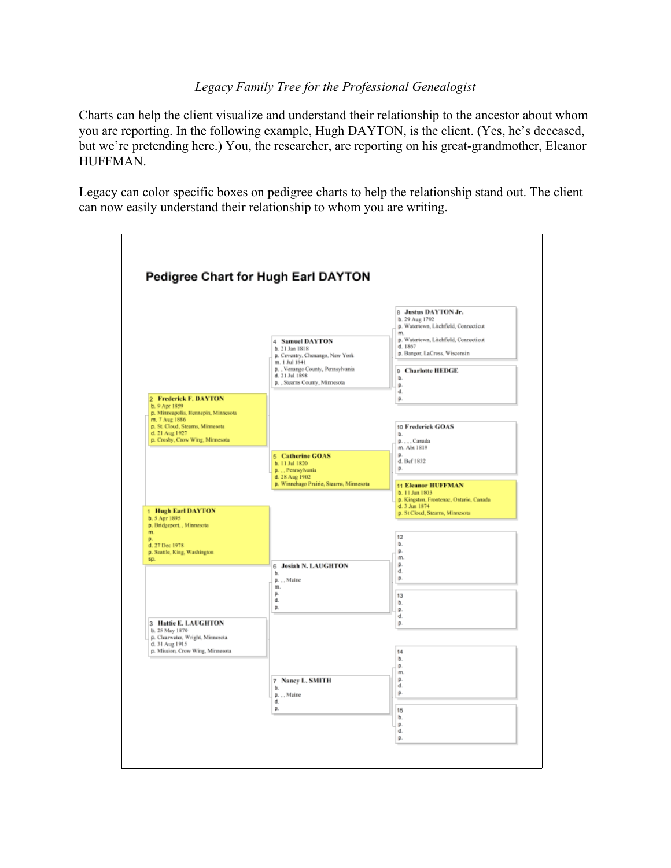Charts can help the client visualize and understand their relationship to the ancestor about whom you are reporting. In the following example, Hugh DAYTON, is the client. (Yes, he's deceased, but we're pretending here.) You, the researcher, are reporting on his great-grandmother, Eleanor HUFFMAN.

Legacy can color specific boxes on pedigree charts to help the relationship stand out. The client can now easily understand their relationship to whom you are writing.